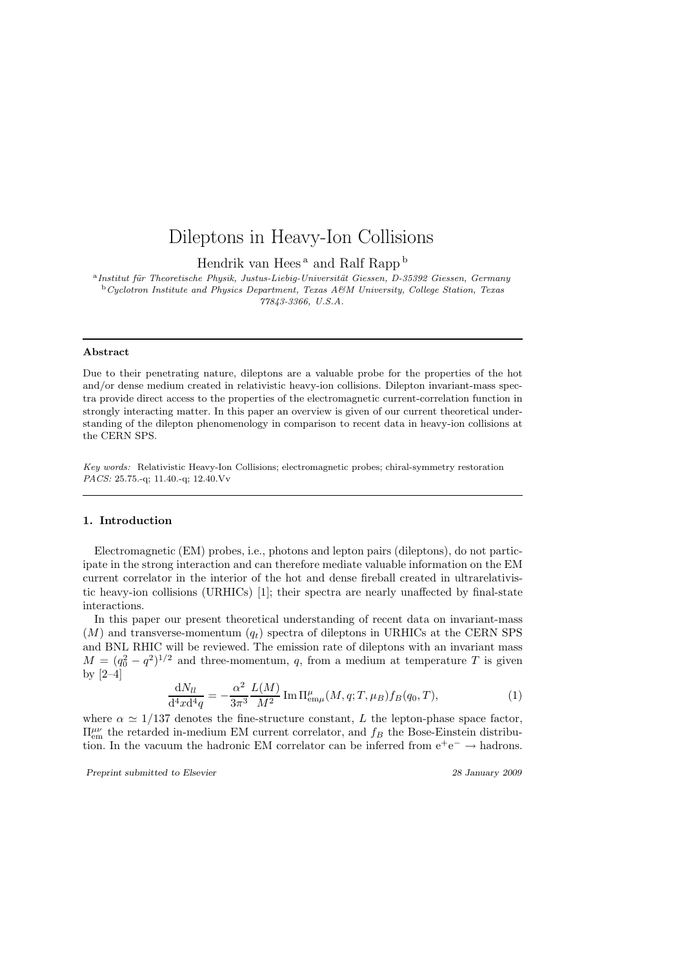# Dileptons in Heavy-Ion Collisions

Hendrik van Hees<sup>a</sup> and Ralf Rapp<sup>b</sup>

<sup>a</sup> Institut für Theoretische Physik, Justus-Liebig-Universität Giessen, D-35392 Giessen, Germany <sup>b</sup>Cyclotron Institute and Physics Department, Texas A&M University, College Station, Texas 77843-3366, U.S.A.

#### Abstract

Due to their penetrating nature, dileptons are a valuable probe for the properties of the hot and/or dense medium created in relativistic heavy-ion collisions. Dilepton invariant-mass spectra provide direct access to the properties of the electromagnetic current-correlation function in strongly interacting matter. In this paper an overview is given of our current theoretical understanding of the dilepton phenomenology in comparison to recent data in heavy-ion collisions at the CERN SPS.

Key words: Relativistic Heavy-Ion Collisions; electromagnetic probes; chiral-symmetry restoration PACS: 25.75.-q; 11.40.-q; 12.40.Vv

## 1. Introduction

Electromagnetic (EM) probes, i.e., photons and lepton pairs (dileptons), do not participate in the strong interaction and can therefore mediate valuable information on the EM current correlator in the interior of the hot and dense fireball created in ultrarelativistic heavy-ion collisions (URHICs) [1]; their spectra are nearly unaffected by final-state interactions.

In this paper our present theoretical understanding of recent data on invariant-mass  $(M)$  and transverse-momentum  $(q_t)$  spectra of dileptons in URHICs at the CERN SPS and BNL RHIC will be reviewed. The emission rate of dileptons with an invariant mass  $M = (q_0^2 - q^2)^{1/2}$  and three-momentum, q, from a medium at temperature T is given by [2–4]

$$
\frac{dN_{ll}}{d^4x d^4q} = -\frac{\alpha^2}{3\pi^3} \frac{L(M)}{M^2} \operatorname{Im} \Pi_{\text{em}\mu}^{\mu}(M, q; T, \mu_B) f_B(q_0, T), \tag{1}
$$

where  $\alpha \simeq 1/137$  denotes the fine-structure constant, L the lepton-phase space factor,  $\Pi_{em}^{\mu\nu}$  the retarded in-medium EM current correlator, and  $f_B$  the Bose-Einstein distribution. In the vacuum the hadronic EM correlator can be inferred from  $e^+e^- \rightarrow$  hadrons.

Preprint submitted to Elsevier 28 January 2009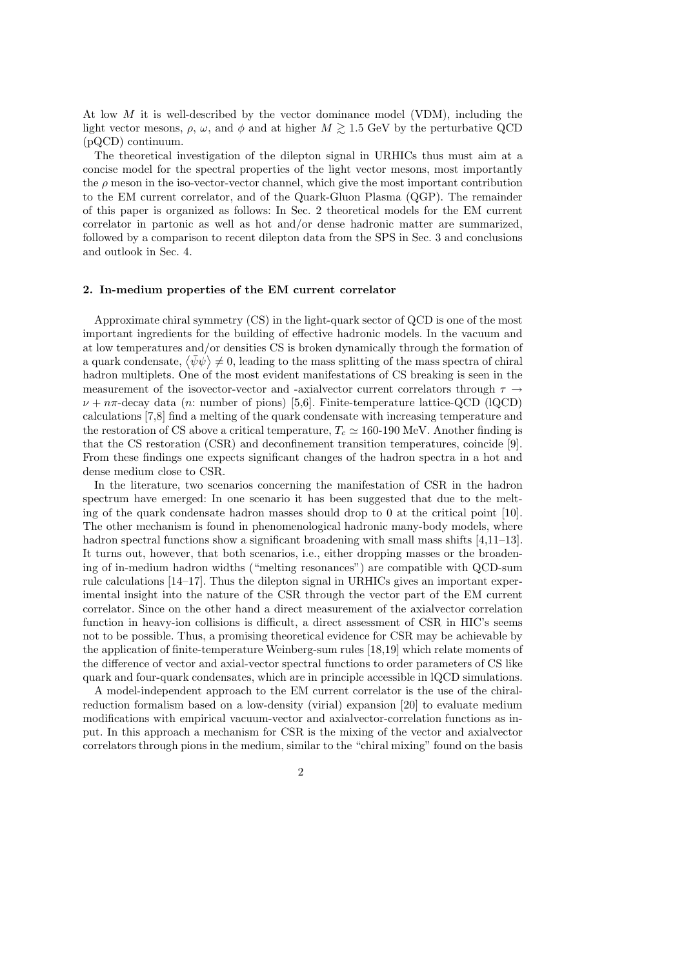At low  $M$  it is well-described by the vector dominance model (VDM), including the light vector mesons,  $\rho$ ,  $\omega$ , and  $\phi$  and at higher  $M \gtrsim 1.5$  GeV by the perturbative QCD (pQCD) continuum.

The theoretical investigation of the dilepton signal in URHICs thus must aim at a concise model for the spectral properties of the light vector mesons, most importantly the  $\rho$  meson in the iso-vector-vector channel, which give the most important contribution to the EM current correlator, and of the Quark-Gluon Plasma (QGP). The remainder of this paper is organized as follows: In Sec. 2 theoretical models for the EM current correlator in partonic as well as hot and/or dense hadronic matter are summarized, followed by a comparison to recent dilepton data from the SPS in Sec. 3 and conclusions and outlook in Sec. 4.

#### 2. In-medium properties of the EM current correlator

Approximate chiral symmetry (CS) in the light-quark sector of QCD is one of the most important ingredients for the building of effective hadronic models. In the vacuum and at low temperatures and/or densities CS is broken dynamically through the formation of a quark condensate,  $\langle \bar{\psi} \psi \rangle \neq 0$ , leading to the mass splitting of the mass spectra of chiral hadron multiplets. One of the most evident manifestations of CS breaking is seen in the measurement of the isovector-vector and -axialvector current correlators through  $\tau \rightarrow$  $\nu + n\pi$ -decay data (n: number of pions) [5,6]. Finite-temperature lattice-QCD (lQCD) calculations [7,8] find a melting of the quark condensate with increasing temperature and the restoration of CS above a critical temperature,  $T_c \simeq 160{\text -}190 \text{ MeV}$ . Another finding is that the CS restoration (CSR) and deconfinement transition temperatures, coincide [9]. From these findings one expects significant changes of the hadron spectra in a hot and dense medium close to CSR.

In the literature, two scenarios concerning the manifestation of CSR in the hadron spectrum have emerged: In one scenario it has been suggested that due to the melting of the quark condensate hadron masses should drop to 0 at the critical point [10]. The other mechanism is found in phenomenological hadronic many-body models, where hadron spectral functions show a significant broadening with small mass shifts [4,11–13]. It turns out, however, that both scenarios, i.e., either dropping masses or the broadening of in-medium hadron widths ("melting resonances") are compatible with QCD-sum rule calculations [14–17]. Thus the dilepton signal in URHICs gives an important experimental insight into the nature of the CSR through the vector part of the EM current correlator. Since on the other hand a direct measurement of the axialvector correlation function in heavy-ion collisions is difficult, a direct assessment of CSR in HIC's seems not to be possible. Thus, a promising theoretical evidence for CSR may be achievable by the application of finite-temperature Weinberg-sum rules [18,19] which relate moments of the difference of vector and axial-vector spectral functions to order parameters of CS like quark and four-quark condensates, which are in principle accessible in lQCD simulations.

A model-independent approach to the EM current correlator is the use of the chiralreduction formalism based on a low-density (virial) expansion [20] to evaluate medium modifications with empirical vacuum-vector and axialvector-correlation functions as input. In this approach a mechanism for CSR is the mixing of the vector and axialvector correlators through pions in the medium, similar to the "chiral mixing" found on the basis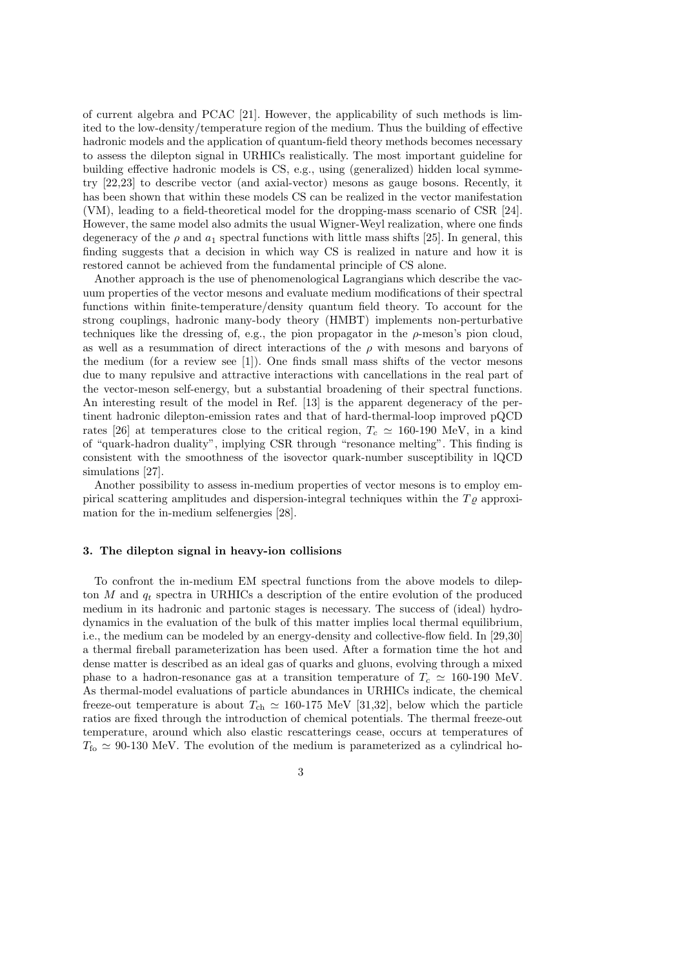of current algebra and PCAC [21]. However, the applicability of such methods is limited to the low-density/temperature region of the medium. Thus the building of effective hadronic models and the application of quantum-field theory methods becomes necessary to assess the dilepton signal in URHICs realistically. The most important guideline for building effective hadronic models is CS, e.g., using (generalized) hidden local symmetry [22,23] to describe vector (and axial-vector) mesons as gauge bosons. Recently, it has been shown that within these models CS can be realized in the vector manifestation (VM), leading to a field-theoretical model for the dropping-mass scenario of CSR [24]. However, the same model also admits the usual Wigner-Weyl realization, where one finds degeneracy of the  $\rho$  and  $a_1$  spectral functions with little mass shifts [25]. In general, this finding suggests that a decision in which way CS is realized in nature and how it is restored cannot be achieved from the fundamental principle of CS alone.

Another approach is the use of phenomenological Lagrangians which describe the vacuum properties of the vector mesons and evaluate medium modifications of their spectral functions within finite-temperature/density quantum field theory. To account for the strong couplings, hadronic many-body theory (HMBT) implements non-perturbative techniques like the dressing of, e.g., the pion propagator in the  $\rho$ -meson's pion cloud, as well as a resummation of direct interactions of the  $\rho$  with mesons and baryons of the medium (for a review see [1]). One finds small mass shifts of the vector mesons due to many repulsive and attractive interactions with cancellations in the real part of the vector-meson self-energy, but a substantial broadening of their spectral functions. An interesting result of the model in Ref. [13] is the apparent degeneracy of the pertinent hadronic dilepton-emission rates and that of hard-thermal-loop improved pQCD rates [26] at temperatures close to the critical region,  $T_c \simeq 160{\text{-}}190 \text{ MeV}$ , in a kind of "quark-hadron duality", implying CSR through "resonance melting". This finding is consistent with the smoothness of the isovector quark-number susceptibility in lQCD simulations [27].

Another possibility to assess in-medium properties of vector mesons is to employ empirical scattering amplitudes and dispersion-integral techniques within the  $T_{\rho}$  approximation for the in-medium selfenergies [28].

### 3. The dilepton signal in heavy-ion collisions

To confront the in-medium EM spectral functions from the above models to dilepton M and  $q_t$  spectra in URHICs a description of the entire evolution of the produced medium in its hadronic and partonic stages is necessary. The success of (ideal) hydrodynamics in the evaluation of the bulk of this matter implies local thermal equilibrium, i.e., the medium can be modeled by an energy-density and collective-flow field. In [29,30] a thermal fireball parameterization has been used. After a formation time the hot and dense matter is described as an ideal gas of quarks and gluons, evolving through a mixed phase to a hadron-resonance gas at a transition temperature of  $T_c \simeq 160{\text -}190$  MeV. As thermal-model evaluations of particle abundances in URHICs indicate, the chemical freeze-out temperature is about  $T_{\text{ch}} \simeq 160 \text{-} 175 \text{ MeV}$  [31,32], below which the particle ratios are fixed through the introduction of chemical potentials. The thermal freeze-out temperature, around which also elastic rescatterings cease, occurs at temperatures of  $T_{\text{fo}} \simeq 90{\text -}130 \text{ MeV}$ . The evolution of the medium is parameterized as a cylindrical ho-

3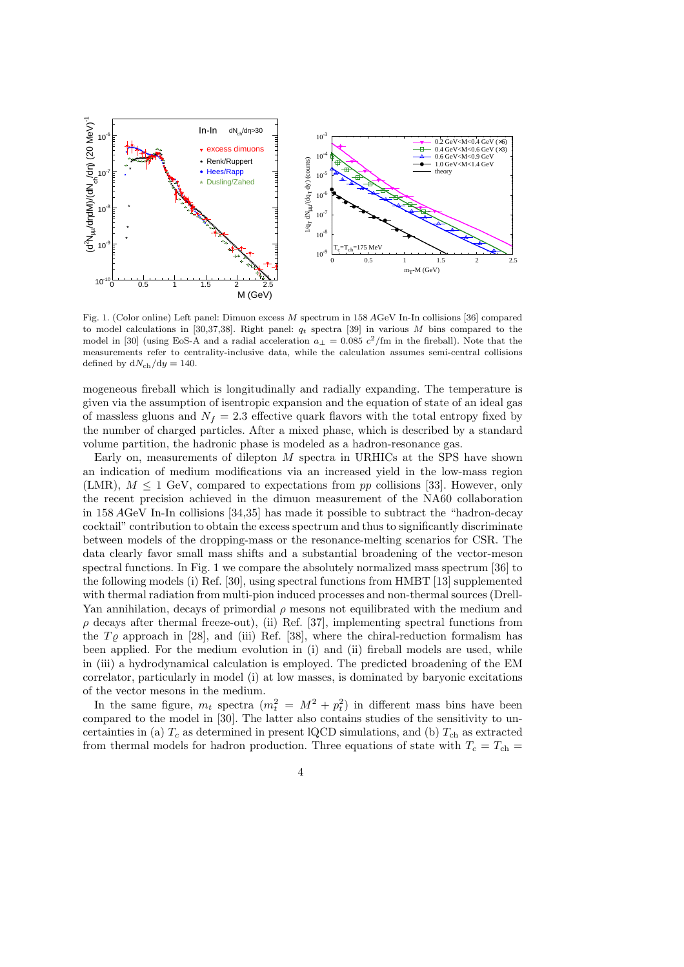

Fig. 1. (Color online) Left panel: Dimuon excess M spectrum in 158 AGeV In-In collisions [36] compared to model calculations in [30,37,38]. Right panel:  $q_t$  spectra [39] in various M bins compared to the model in [30] (using EoS-A and a radial acceleration  $a_{\perp} = 0.085 c^2/\text{fm}$  in the fireball). Note that the measurements refer to centrality-inclusive data, while the calculation assumes semi-central collisions defined by  $dN_{ch}/dy = 140$ .

mogeneous fireball which is longitudinally and radially expanding. The temperature is given via the assumption of isentropic expansion and the equation of state of an ideal gas of massless gluons and  $N_f = 2.3$  effective quark flavors with the total entropy fixed by the number of charged particles. After a mixed phase, which is described by a standard volume partition, the hadronic phase is modeled as a hadron-resonance gas.

Early on, measurements of dilepton  $M$  spectra in URHICs at the SPS have shown an indication of medium modifications via an increased yield in the low-mass region (LMR),  $M \leq 1$  GeV, compared to expectations from pp collisions [33]. However, only the recent precision achieved in the dimuon measurement of the NA60 collaboration in 158 AGeV In-In collisions [34,35] has made it possible to subtract the "hadron-decay cocktail" contribution to obtain the excess spectrum and thus to significantly discriminate between models of the dropping-mass or the resonance-melting scenarios for CSR. The data clearly favor small mass shifts and a substantial broadening of the vector-meson spectral functions. In Fig. 1 we compare the absolutely normalized mass spectrum [36] to the following models (i) Ref. [30], using spectral functions from HMBT [13] supplemented with thermal radiation from multi-pion induced processes and non-thermal sources (Drell-Yan annihilation, decays of primordial  $\rho$  mesons not equilibrated with the medium and  $\rho$  decays after thermal freeze-out), (ii) Ref. [37], implementing spectral functions from the  $T\rho$  approach in [28], and (iii) Ref. [38], where the chiral-reduction formalism has been applied. For the medium evolution in (i) and (ii) fireball models are used, while in (iii) a hydrodynamical calculation is employed. The predicted broadening of the EM correlator, particularly in model (i) at low masses, is dominated by baryonic excitations of the vector mesons in the medium.

In the same figure,  $m_t$  spectra  $(m_t^2 = M^2 + p_t^2)$  in different mass bins have been compared to the model in [30]. The latter also contains studies of the sensitivity to uncertainties in (a)  $T_c$  as determined in present lQCD simulations, and (b)  $T_{ch}$  as extracted from thermal models for hadron production. Three equations of state with  $T_c = T_{ch}$  =

4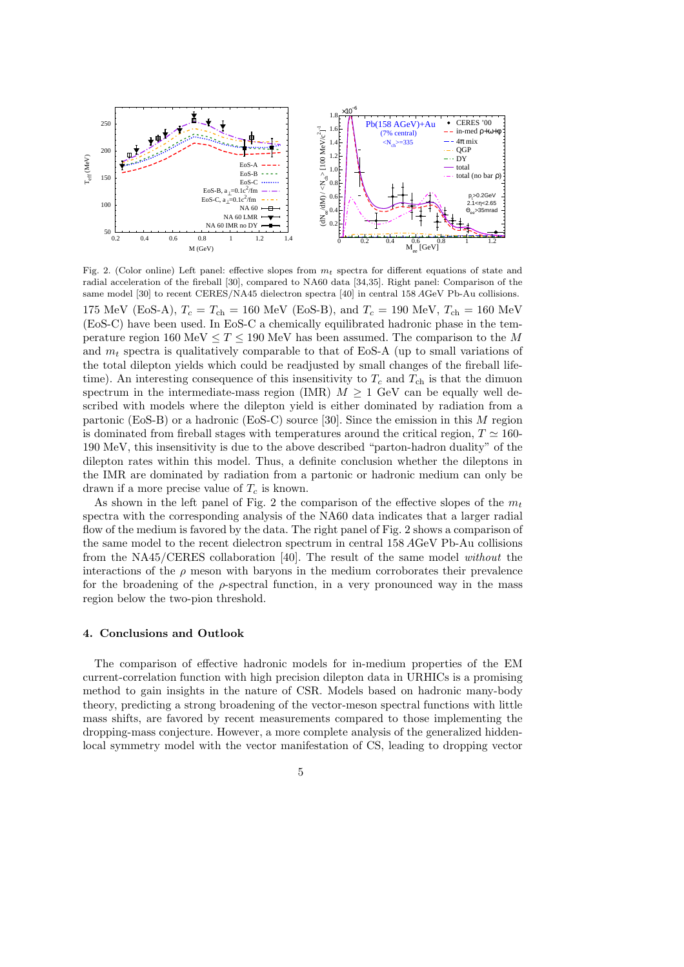

Fig. 2. (Color online) Left panel: effective slopes from  $m_t$  spectra for different equations of state and radial acceleration of the fireball [30], compared to NA60 data [34,35]. Right panel: Comparison of the same model [30] to recent CERES/NA45 dielectron spectra [40] in central 158 AGeV Pb-Au collisions.

175 MeV (EoS-A),  $T_c = T_{ch} = 160$  MeV (EoS-B), and  $T_c = 190$  MeV,  $T_{ch} = 160$  MeV (EoS-C) have been used. In EoS-C a chemically equilibrated hadronic phase in the temperature region 160 MeV  $\leq T \leq 190$  MeV has been assumed. The comparison to the M and  $m_t$  spectra is qualitatively comparable to that of EoS-A (up to small variations of the total dilepton yields which could be readjusted by small changes of the fireball lifetime). An interesting consequence of this insensitivity to  $T_c$  and  $T_{ch}$  is that the dimuon spectrum in the intermediate-mass region (IMR)  $M \geq 1$  GeV can be equally well described with models where the dilepton yield is either dominated by radiation from a partonic (EoS-B) or a hadronic (EoS-C) source [30]. Since the emission in this M region is dominated from fireball stages with temperatures around the critical region,  $T \simeq 160$ -190 MeV, this insensitivity is due to the above described "parton-hadron duality" of the dilepton rates within this model. Thus, a definite conclusion whether the dileptons in the IMR are dominated by radiation from a partonic or hadronic medium can only be drawn if a more precise value of  $T_c$  is known.

As shown in the left panel of Fig. 2 the comparison of the effective slopes of the  $m_t$ spectra with the corresponding analysis of the NA60 data indicates that a larger radial flow of the medium is favored by the data. The right panel of Fig. 2 shows a comparison of the same model to the recent dielectron spectrum in central 158 AGeV Pb-Au collisions from the NA45/CERES collaboration [40]. The result of the same model without the interactions of the  $\rho$  meson with baryons in the medium corroborates their prevalence for the broadening of the  $\rho$ -spectral function, in a very pronounced way in the mass region below the two-pion threshold.

### 4. Conclusions and Outlook

The comparison of effective hadronic models for in-medium properties of the EM current-correlation function with high precision dilepton data in URHICs is a promising method to gain insights in the nature of CSR. Models based on hadronic many-body theory, predicting a strong broadening of the vector-meson spectral functions with little mass shifts, are favored by recent measurements compared to those implementing the dropping-mass conjecture. However, a more complete analysis of the generalized hiddenlocal symmetry model with the vector manifestation of CS, leading to dropping vector